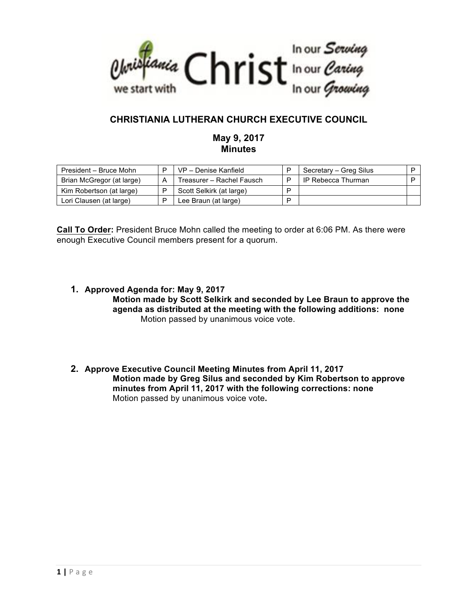

# **CHRISTIANIA LUTHERAN CHURCH EXECUTIVE COUNCIL**

# **May 9, 2017 Minutes**

| President - Bruce Mohn    | VP - Denise Kanfield      |   | Secretary - Greg Silus |  |
|---------------------------|---------------------------|---|------------------------|--|
| Brian McGregor (at large) | Treasurer - Rachel Fausch |   | IP Rebecca Thurman     |  |
| Kim Robertson (at large)  | Scott Selkirk (at large)  | D |                        |  |
| Lori Clausen (at large)   | Lee Braun (at large)      | D |                        |  |

**Call To Order:** President Bruce Mohn called the meeting to order at 6:06 PM. As there were enough Executive Council members present for a quorum.

- **1. Approved Agenda for: May 9, 2017 Motion made by Scott Selkirk and seconded by Lee Braun to approve the agenda as distributed at the meeting with the following additions: none** Motion passed by unanimous voice vote.
- **2. Approve Executive Council Meeting Minutes from April 11, 2017 Motion made by Greg Silus and seconded by Kim Robertson to approve minutes from April 11, 2017 with the following corrections: none**  Motion passed by unanimous voice vote**.**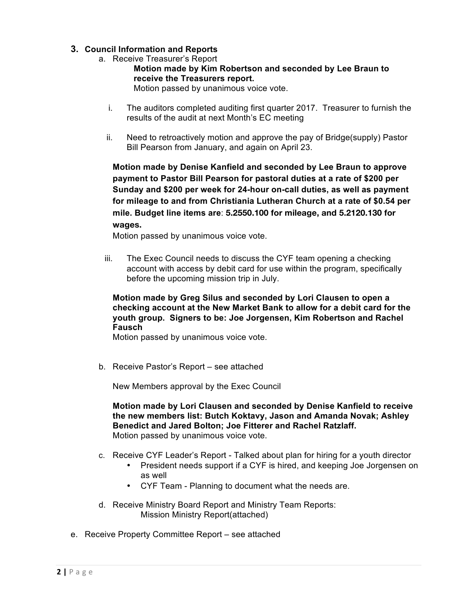# **3. Council Information and Reports**

- a. Receive Treasurer's Report
	- **Motion made by Kim Robertson and seconded by Lee Braun to receive the Treasurers report.** Motion passed by unanimous voice vote.
	- i. The auditors completed auditing first quarter 2017. Treasurer to furnish the results of the audit at next Month's EC meeting
	- ii. Need to retroactively motion and approve the pay of Bridge(supply) Pastor Bill Pearson from January, and again on April 23.

**Motion made by Denise Kanfield and seconded by Lee Braun to approve payment to Pastor Bill Pearson for pastoral duties at a rate of \$200 per Sunday and \$200 per week for 24-hour on-call duties, as well as payment for mileage to and from Christiania Lutheran Church at a rate of \$0.54 per mile. Budget line items are**: **5.2550.100 for mileage, and 5.2120.130 for wages.**

Motion passed by unanimous voice vote.

iii. The Exec Council needs to discuss the CYF team opening a checking account with access by debit card for use within the program, specifically before the upcoming mission trip in July.

#### **Motion made by Greg Silus and seconded by Lori Clausen to open a checking account at the New Market Bank to allow for a debit card for the youth group. Signers to be: Joe Jorgensen, Kim Robertson and Rachel Fausch**

Motion passed by unanimous voice vote.

b. Receive Pastor's Report – see attached

New Members approval by the Exec Council

**Motion made by Lori Clausen and seconded by Denise Kanfield to receive the new members list: Butch Koktavy, Jason and Amanda Novak; Ashley Benedict and Jared Bolton; Joe Fitterer and Rachel Ratzlaff.** Motion passed by unanimous voice vote.

- c. Receive CYF Leader's Report Talked about plan for hiring for a youth director
	- President needs support if a CYF is hired, and keeping Joe Jorgensen on as well
	- CYF Team Planning to document what the needs are.
- d. Receive Ministry Board Report and Ministry Team Reports: Mission Ministry Report(attached)
- e. Receive Property Committee Report see attached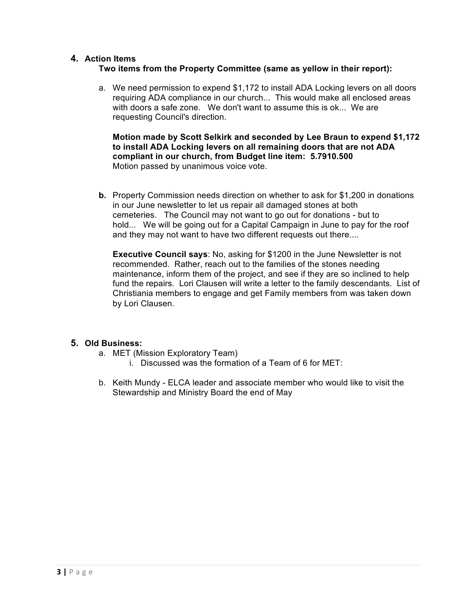#### **4. Action Items**

# **Two items from the Property Committee (same as yellow in their report):**

a. We need permission to expend \$1,172 to install ADA Locking levers on all doors requiring ADA compliance in our church... This would make all enclosed areas with doors a safe zone. We don't want to assume this is ok... We are requesting Council's direction.

**Motion made by Scott Selkirk and seconded by Lee Braun to expend \$1,172 to install ADA Locking levers on all remaining doors that are not ADA compliant in our church, from Budget line item: 5.7910.500** Motion passed by unanimous voice vote.

**b.** Property Commission needs direction on whether to ask for \$1,200 in donations in our June newsletter to let us repair all damaged stones at both cemeteries. The Council may not want to go out for donations - but to hold... We will be going out for a Capital Campaign in June to pay for the roof and they may not want to have two different requests out there....

**Executive Council says**: No, asking for \$1200 in the June Newsletter is not recommended. Rather, reach out to the families of the stones needing maintenance, inform them of the project, and see if they are so inclined to help fund the repairs. Lori Clausen will write a letter to the family descendants. List of Christiania members to engage and get Family members from was taken down by Lori Clausen.

# **5. Old Business:**

- a. MET (Mission Exploratory Team)
	- i. Discussed was the formation of a Team of 6 for MET:
- b. Keith Mundy ELCA leader and associate member who would like to visit the Stewardship and Ministry Board the end of May